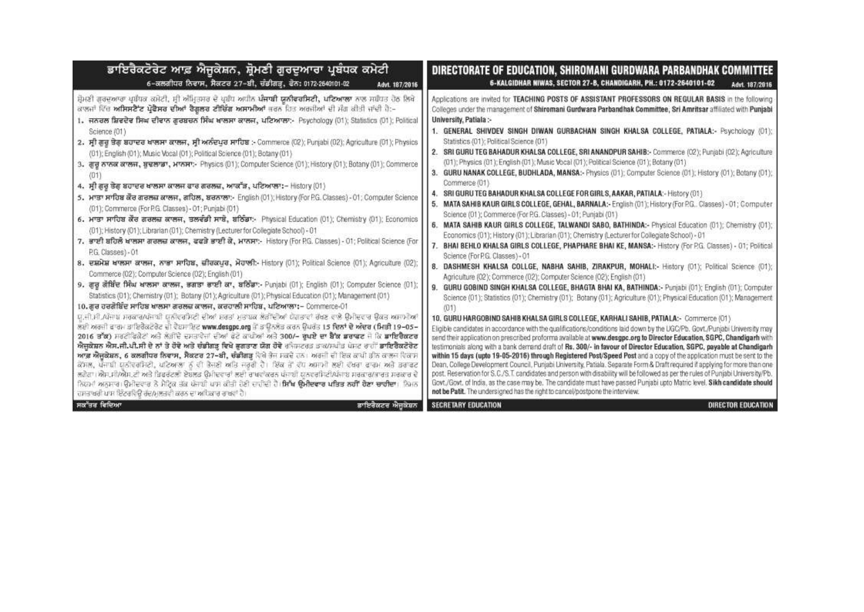| ਡਾਇਰੈਕਟੋਰੇਟ ਆਫ਼ ਐਜੂਕੇਸ਼ਨ, ਸ਼੍ਰੋਮਣੀ ਗੁਰਦੁਆਰਾ ਪ੍ਰਬੰਧਕ ਕਮੇਟੀ                                                                                                                                                                                                                                                                                                                                                                                                                                                                                                                                                                                                                                                                                                                                                                                                                                                                                                                                                                                                                                                                                                                                                                                                                                                                                                                                                                                                                                                                                                                                                                                                                                                                                                                                                                                                                                                                                                                                                                                                                                                                                                                                                                                                                                                                                                                                                                                                                                                                                                                                                                                                                                                     | DIRECTORATE OF EDUCATION, SHIROMANI GURDWARA PARBANDHAK COMMITTEE                                                                                                                                                                                                                                                                                                                                                                                                                                                                                                                                                                                                                                                                                                                                                                                                                                                                                                                                                                                                                                                                                                                                                                                                                                                                                                                                                                                                                                                                                                                                                                                                                                                                                                                                                                                                                                                                                                                                                                                                                                                                                                                                                                                                                                                                                                                                                                                                                                                                                                                                                                                                                                                                                                                                                                              |
|---------------------------------------------------------------------------------------------------------------------------------------------------------------------------------------------------------------------------------------------------------------------------------------------------------------------------------------------------------------------------------------------------------------------------------------------------------------------------------------------------------------------------------------------------------------------------------------------------------------------------------------------------------------------------------------------------------------------------------------------------------------------------------------------------------------------------------------------------------------------------------------------------------------------------------------------------------------------------------------------------------------------------------------------------------------------------------------------------------------------------------------------------------------------------------------------------------------------------------------------------------------------------------------------------------------------------------------------------------------------------------------------------------------------------------------------------------------------------------------------------------------------------------------------------------------------------------------------------------------------------------------------------------------------------------------------------------------------------------------------------------------------------------------------------------------------------------------------------------------------------------------------------------------------------------------------------------------------------------------------------------------------------------------------------------------------------------------------------------------------------------------------------------------------------------------------------------------------------------------------------------------------------------------------------------------------------------------------------------------------------------------------------------------------------------------------------------------------------------------------------------------------------------------------------------------------------------------------------------------------------------------------------------------------------------------------------------------|------------------------------------------------------------------------------------------------------------------------------------------------------------------------------------------------------------------------------------------------------------------------------------------------------------------------------------------------------------------------------------------------------------------------------------------------------------------------------------------------------------------------------------------------------------------------------------------------------------------------------------------------------------------------------------------------------------------------------------------------------------------------------------------------------------------------------------------------------------------------------------------------------------------------------------------------------------------------------------------------------------------------------------------------------------------------------------------------------------------------------------------------------------------------------------------------------------------------------------------------------------------------------------------------------------------------------------------------------------------------------------------------------------------------------------------------------------------------------------------------------------------------------------------------------------------------------------------------------------------------------------------------------------------------------------------------------------------------------------------------------------------------------------------------------------------------------------------------------------------------------------------------------------------------------------------------------------------------------------------------------------------------------------------------------------------------------------------------------------------------------------------------------------------------------------------------------------------------------------------------------------------------------------------------------------------------------------------------------------------------------------------------------------------------------------------------------------------------------------------------------------------------------------------------------------------------------------------------------------------------------------------------------------------------------------------------------------------------------------------------------------------------------------------------------------------------------------------------|
| 6-ਕਲਗੀਧਰ ਨਿਵਾਸ, ਸੈਕਟਰ 27-ਈ, ਚੰਡੀਗੜ੍ਹ, ਫੋਨ: 0172-2640101-02                                                                                                                                                                                                                                                                                                                                                                                                                                                                                                                                                                                                                                                                                                                                                                                                                                                                                                                                                                                                                                                                                                                                                                                                                                                                                                                                                                                                                                                                                                                                                                                                                                                                                                                                                                                                                                                                                                                                                                                                                                                                                                                                                                                                                                                                                                                                                                                                                                                                                                                                                                                                                                                    | 6-KALGIDHAR NIWAS, SECTOR 27-B, CHANDIGARH, PH.: 0172-2640101-02                                                                                                                                                                                                                                                                                                                                                                                                                                                                                                                                                                                                                                                                                                                                                                                                                                                                                                                                                                                                                                                                                                                                                                                                                                                                                                                                                                                                                                                                                                                                                                                                                                                                                                                                                                                                                                                                                                                                                                                                                                                                                                                                                                                                                                                                                                                                                                                                                                                                                                                                                                                                                                                                                                                                                                               |
| Advt. 187/2016                                                                                                                                                                                                                                                                                                                                                                                                                                                                                                                                                                                                                                                                                                                                                                                                                                                                                                                                                                                                                                                                                                                                                                                                                                                                                                                                                                                                                                                                                                                                                                                                                                                                                                                                                                                                                                                                                                                                                                                                                                                                                                                                                                                                                                                                                                                                                                                                                                                                                                                                                                                                                                                                                                | Advt. 187/2016                                                                                                                                                                                                                                                                                                                                                                                                                                                                                                                                                                                                                                                                                                                                                                                                                                                                                                                                                                                                                                                                                                                                                                                                                                                                                                                                                                                                                                                                                                                                                                                                                                                                                                                                                                                                                                                                                                                                                                                                                                                                                                                                                                                                                                                                                                                                                                                                                                                                                                                                                                                                                                                                                                                                                                                                                                 |
| ਸ਼ੋਮਣੀ ਗੁਰਦੁਆਰਾ ਪ੍ਰਬੰਧਕ ਕਮੇਟੀ, ਸ਼੍ਰੀ ਅੰਮ੍ਰਿਤਸਰ ਦੇ ਪ੍ਰਬੰਧ ਅਧੀਨ <b>ਪੰਜਾਬੀ ਯੂਨੀਵਰਸਿਟੀ, ਪਟਿਆਲਾ</b> ਨਾਲ ਸਬੰਧਤ ਹੇਠ ਲਿਖੇ<br>ਕਾਲਜਾਂ ਵਿੱਚ <b>ਅਸਿਸਟੈੱਟ ਪ੍ਰੋਫੈਸਰ ਦੀਆਂ ਰੈਗੂਲਰ ਟੀਚਿੰਗ ਅਸਾਮੀਆਂ</b> ਭਰਨ ਹਿਤ ਅਰਜੀਆਂ ਦੀ ਮੰਗ ਕੀਤੀ ਜਾਂਦੀ ਹੈ:-<br>1. ਜਨਰਲ ਸ਼ਿਵਦੇਵ ਸਿਘ ਦੀਵਾਨ ਗੁਰਬਚਨ ਸਿੰਘ ਖਾਲਸਾ ਕਾਲਜ, ਪਟਿਆਲਾ:- Psychology (01); Statistics (01); Political<br>Science (01)<br>2. ਸ੍ਰੀ ਗੁਰੂ ਤੋਰ ਬਹਾਦਰ ਖਾਲਸਾ ਕਾਲਜ, ਸ੍ਰੀ ਅਨੰਦਪੁਰ ਸਾਹਿਬ :- Commerce (C2); Punjabi (02); Agriculture (01); Physics<br>(01); English (01); Music Vocal (01); Political Science (01); Botany (01)<br>3. ਗੁਰੂ ਨਾਨਕ ਕਾਲਜ, ਬੁਢਲਾਡਾ, ਮਾਨਸਾ:- Physics (01); Computer Science (01); History (01); Botany (01); Commerce<br>4. ਸ੍ਰੀ ਗੁਰੂ ਤੇਗ ਬਹਾਦਰ ਖਾਲਸਾ ਕਾਲਜ ਫਾਰ ਗਰਲਜ਼, ਆਕਾੱੜ, ਪਟਿਆਲਾ:– History (01)<br>5. ਮਾਤਾ ਸਾਹਿਬ ਕੌਰ ਗਰਲਜ਼ ਕਾਲਜ, ਗਹਿਲ, ਬਰਨਾਲਾ:- English (01); History (For P.G. Classes) - 01; Computer Science<br>(01); Commerce (For P.G. Classes) - 01; Punjabi (01)<br>6. ਮਾਤਾ ਸਾਹਿਬ ਕੌਰ ਗਰਲਜ਼ ਕਾਲਜ, ਤਲਵੰਡੀ ਸਾਬੋ, ਬਠਿੰਡਾ:- Physical Education (01); Chemistry (01); Economics<br>(01); History (01); Librarian (01); Chemistry (Lecturer for Collegiate School) - 01<br>7. ਭਾਈ ਬਹਿਲੇ ਖਾਲਸਾ ਗਰਲਜ਼ ਕਾਲਜ, ਫਫੜੇ ਭਾਈ ਕੇ, ਮਾਨਸਾ:- History (For P.G. Classes) - 01; Political Science (For<br>P.G. Classes) - 01<br>8. ਦਸ਼ਮੇਸ਼ ਖਾਲਸਾ ਕਾਲਜ, ਨਾਭਾ ਸਾਹਿਬ, ਜ਼ੀਰਕਪੁਰ, ਮੋਹਾਲੀ:- History (01); Political Science (01); Agriculture (02);<br>Commerce (02); Computer Science (02); English (01).<br>9. ਗੁਰੂ ਗੋਬਿੰਦ ਸਿੰਘ ਖਾਲਸਾ ਕਾਲਜ, ਭਗਤਾ ਭਾਈ ਕਾ, ਬਠਿੰਡਾ:- Punjabi (01); English (01); Computer Science (01);<br>Statistics (01); Chemistry (01); Botany (01); Agriculture (01); Physical Education (01); Management (01)<br>10. ਗੁਰ ਹਰਗੋਬਿੰਦ ਸਾਹਿਬ ਖਾਲਸਾ ਗਰਲਜ਼ ਕਾਲਜ, ਕਰਹਾਲੀ ਸਾਹਿਬ, ਪਟਿਆਲਾ:- Commerce-01<br>ਪ,ਜੀ.ਸੀ./ਪੰਜਾਬ ਸਰਕਾਰ/ਪੰਜਾਬੀ ਪਨੀਵਰਸਿਟੀ ਦੀਆਂ ਸ਼ਰਤਾਂ ਮੁਤਾਬਕ ਲੋੜੀਂਦੀਆਂ ਯੋਗਤਾਵਾਂ ਰੱਖਣ ਵਾਲੇ ਉਮੀਦਵਾਰ ਉਕਤ ਅਸਾਮੀਆਂ<br>ਲਈ ਅਰਜੀ ਫਾਰਮ ਡਾਇਰੈਕਟੋਰੇਟ ਦੀ ਵੈਬਸਾਇਟ www.desgpc.org ਤੋਂ ਡਾਊਨਲੋਡ ਕਰਨ ਉਪਰੰਤ 15 ਦਿਨਾਂ ਦੇ ਅੰਦਰ (ਮਿੜੀ 19–05–<br>2016 ਤੱਕ) ਸਰਟੀਫਿਕੇਟਾਂ ਅਤੇ ਲੋੜੀਂਦੇ ਦਸਤਾਵੇਜਾਂ ਦੀਆਂ ਫੋਟੋ ਕਾਪੀਆਂ ਅਤੇ 300/– ਰਖਏ ਦਾ ਬੈੱਕ ਡਰਾਫਟ ਜੋ ਕਿ ਡਾਇਰੈਕਟਰ<br>ਐਜੁਕੇਸ਼ਨ ਐਸ.ਜੀ.ਪੀ.ਸੀ ਦੇ ਨਾਂ ਤੇ ਹੋਵੇ ਅਤੇ ਚੰਡੀਗੜ ਵਿਖੇ ਭਗਤਾਣ ਯੋਗ ਹੋਵੇ ਰਜਿਸਟਰਤ ਤਾਕ/ਸਪੀਤ ਪੋਸਟ ਰਾਹੀਂ ਡਾਇਰੈਕਟੋਰੇਟ<br><b>ਆਫ਼ ਐਜਕੇਸ਼ਨ, 6 ਕਲਗੀਬਰ ਨਿਵਾਸ, ਸੈਕਟਰ 27-ਬੀ, ਚੰਡੀਗੜ</b> ਵਿਖੇ ਰੋਜ ਸਕਦੇ ਹਨ। ਅਰਜੀ ਦੀ ਇਕ ਕਾਪੀ ਡੀਨ ਕਾਲਜ ਵਿਕਾਸ<br>ਕੋਸਲ, ਪੰਜਾਬੀ ਯੂਨੀਵਰਸਿਟੀ, ਪਟਿਆਲਾ ਨੂੰ ਵੀ ਭੈਜਣੀ ਅਤਿ ਜਰੂਰੀ ਹੈ। ਇੱਕ ਤੋਂ ਵੱਧ ਅਸਾਮੀ ਲਈ ਵੱਖਰਾ ਫਾਰਮ ਅਤੇ ਡਰਾਫਟ<br>ਲਗੋਗਾ। ਐਸ.ਸੀ/ਐਸ.ਟੀ ਅਤੇ ਤਿਫਰੰਟਲੀ ਏਬਲਤ ਉਮੀਦਵਾਰਾਂ ਲਈ ਰਾਖਵਾਕਰਨ ਪੰਜਾਬੀ ਯੂਨਵਰਸਿਟੀ/ਪੰਜਾਬ ਸਰਕਾਰ/ਭਾਰਤ ਸਰਕਾਰ ਦੇ<br>ਨਿਯਮਾਂ ਅਨੁਸਾਰ। ਉਮੀਦਵਾਰ ਨੇ ਮੈਟਿਕ ਤੱਕ ਪੰਜਾਬੀ ਪਾਸ ਕੀਤੀ ਹੋਣੀ ਚਾਹੀਦੀ ਹੈ। <b>ਸਿੱਖ ਉਮੀਦਵਾਰ ਪਤਿਤ ਨਹੀਂ ਹੋਣਾ ਚਾਹੀਦਾ</b> । ਨਿਮਨ<br>ਹਸਤਾਬਰੀ ਪਾਸ ਇੰਟਰਵਿਊ ਰੱਦ/ਮਲਤਵੀ ਕਰਨ ਦਾ ਅਹਿਕਾਰ ਰਾਖਵਾਂ ਹੈ। | Applications are invited for TEACHING POSTS OF ASSISTANT PROFESSORS ON REGULAR BASIS in the following-<br>Colleges under the management of Shiromani Gurdwara Parbandhak Committee, Sri Amritsar affiliated with Punjabi<br>University, Patiala :-<br>1. GENERAL SHIVDEV SINGH DIWAN GURBACHAN SINGH KHALSA COLLEGE, PATIALA:- Psychology (01);<br>Statistics (01); Political Science (01)<br>2. SRI GURU TEG BAHADUR KHALSA COLLEGE, SRI ANANDPUR SAHIB:- Commerce (02); Punjabi (02); Agriculture<br>(01); Physics (01); English (01); Music Vocal (01); Political Science (01); Botany (01)<br>3. GURU NANAK COLLEGE, BUDHLADA, MANSA:- Physics (01); Computer Science (01); History (01); Botany (01);<br>Commerce (01)<br>SRI GURU TEG BAHADUR KHALSA COLLEGE FOR GIRLS, AAKAR, PATIALA:-History (01)<br>MATA SAHIB KAUR GIRLS COLLEGE, GEHAL, BARNALA:+ English (01); History (For P.G., Classes) - 01; Computer<br>5.<br>Science (01); Commerce (For P.G. Classes) - 01; Punjabi (01)<br>MATA SAHIB KAUR GIRLS COLLEGE, TALWANDI SABO, BATHINDA:- Physical Education (01); Chemistry (01);<br>Economics (01); History (01); Librarian (01); Chemistry (Lecturer for Collegiate School) - 01<br>BHAI BEHLO KHALSA GIRLS COLLEGE, PHAPHARE BHAI KE, MANSA:- History (For P.G. Classes) - 01; Political<br>Science (For P.G. Classes) - 01<br>8.<br>DASHMESH KHALSA COLLGE, NABHA SAHIB, ZIRAKPUR, MOHALI:- History (01); Political Science (01);<br>Agriculture (02); Commerce (02); Computer Science (02); English (01)<br>GURU GOBIND SINGH KHALSA COLLEGE, BHAGTA BHAI KA, BATHINDA:- Punjabi (01); English (01); Computer<br>Science (01); Statistics (01); Chemistry (01); Botany (01); Agriculture (01); Physical Education (01); Management<br>10. GURU HARGOBIND SAHIB KHALSA GIRLS COLLEGE, KARHALI SAHIB, PATIALA:- Commerce (01)<br>Eligible candidates in accordance with the qualifications/conditions laid down by the UGC/Pb. Govt./Punjabi University may<br>send their application on prescribed proforma available at www.desgpc.org to Director Education, SGPC, Chandigarh with<br>testimonials along with a bank demand draft of Rs. 300/- in favour of Director Education, SGPC, payable at Chandigarh<br>within 15 days (upto 19-05-2016) through Registered Post/Speed Post and a copy of the application must be sent to the<br>Dean, College Development Council, Punjabi University, Patiala. Separate Form & Draft required if applying for more than one-<br>post. Reservation for S.C./S.T. candidates and person with disability will be followed as per the rules of Punjabi University/Pb.<br>Govt./Govt. of India, as the case may be. The candidate must have passed Punjabi upto Matric level. Sikh candidate should<br>not be Patit. The undersigned has the right to cancel/postpone the interview. |
| ਸਕੱਤਰ ਵਿਦਿਆ                                                                                                                                                                                                                                                                                                                                                                                                                                                                                                                                                                                                                                                                                                                                                                                                                                                                                                                                                                                                                                                                                                                                                                                                                                                                                                                                                                                                                                                                                                                                                                                                                                                                                                                                                                                                                                                                                                                                                                                                                                                                                                                                                                                                                                                                                                                                                                                                                                                                                                                                                                                                                                                                                                   | <b>SECRETARY EDUCATION</b>                                                                                                                                                                                                                                                                                                                                                                                                                                                                                                                                                                                                                                                                                                                                                                                                                                                                                                                                                                                                                                                                                                                                                                                                                                                                                                                                                                                                                                                                                                                                                                                                                                                                                                                                                                                                                                                                                                                                                                                                                                                                                                                                                                                                                                                                                                                                                                                                                                                                                                                                                                                                                                                                                                                                                                                                                     |
| ਡਾਇਰੈਕਟਰ ਐਜਕੇਸ਼ਨ                                                                                                                                                                                                                                                                                                                                                                                                                                                                                                                                                                                                                                                                                                                                                                                                                                                                                                                                                                                                                                                                                                                                                                                                                                                                                                                                                                                                                                                                                                                                                                                                                                                                                                                                                                                                                                                                                                                                                                                                                                                                                                                                                                                                                                                                                                                                                                                                                                                                                                                                                                                                                                                                                              | DIRECTOR EDUCATION                                                                                                                                                                                                                                                                                                                                                                                                                                                                                                                                                                                                                                                                                                                                                                                                                                                                                                                                                                                                                                                                                                                                                                                                                                                                                                                                                                                                                                                                                                                                                                                                                                                                                                                                                                                                                                                                                                                                                                                                                                                                                                                                                                                                                                                                                                                                                                                                                                                                                                                                                                                                                                                                                                                                                                                                                             |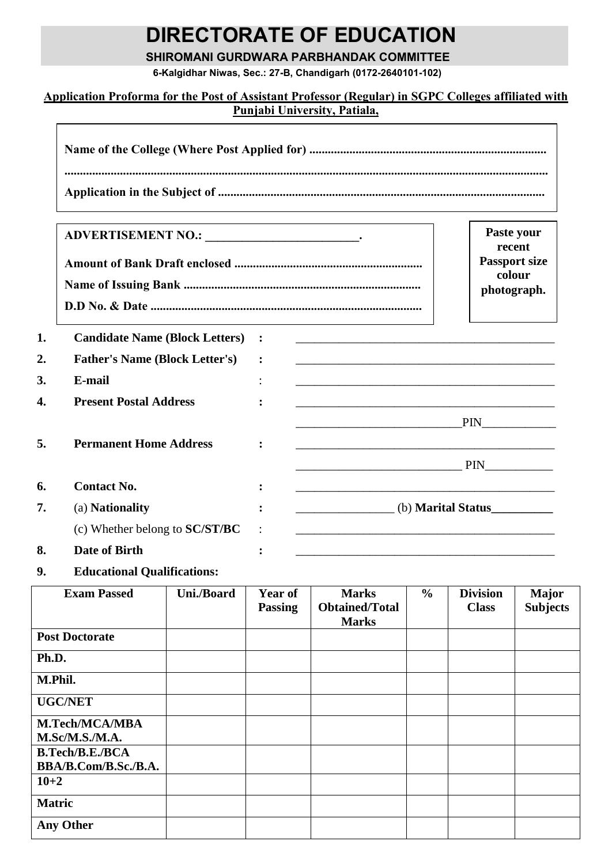# **DIRECTORATE OF EDUCATION**

**SHIROMANI GURDWARA PARBHANDAK COMMITTEE**

**6-Kalgidhar Niwas, Sec.: 27-B, Chandigarh (0172-2640101-102)**

## **Application Proforma for the Post of Assistant Professor (Regular) in SGPC Colleges affiliated with Punjabi University, Patiala,**

|                                       |                |                    | Paste your<br>recent           |
|---------------------------------------|----------------|--------------------|--------------------------------|
|                                       |                |                    | <b>Passport size</b><br>colour |
|                                       |                |                    | photograph.                    |
|                                       |                |                    |                                |
| <b>Candidate Name (Block Letters)</b> | $\ddot{\cdot}$ |                    |                                |
| <b>Father's Name (Block Letter's)</b> |                |                    |                                |
| E-mail                                |                |                    |                                |
| <b>Present Postal Address</b>         |                |                    |                                |
|                                       |                | PIN                |                                |
| <b>Permanent Home Address</b>         |                |                    |                                |
|                                       |                | PIN                |                                |
| <b>Contact No.</b>                    |                |                    |                                |
| (a) Nationality                       |                | (b) Marital Status |                                |
| (c) Whether belong to SC/ST/BC        |                |                    |                                |
| <b>Date of Birth</b>                  |                |                    |                                |
|                                       |                |                    |                                |

**9. Educational Qualifications:**

| <b>Exam Passed</b>     | Uni./Board | <b>Year of</b><br><b>Passing</b> | <b>Marks</b><br><b>Obtained/Total</b> | $\frac{6}{6}$ | <b>Division</b><br><b>Class</b> | <b>Major</b><br><b>Subjects</b> |
|------------------------|------------|----------------------------------|---------------------------------------|---------------|---------------------------------|---------------------------------|
|                        |            |                                  | <b>Marks</b>                          |               |                                 |                                 |
| <b>Post Doctorate</b>  |            |                                  |                                       |               |                                 |                                 |
| Ph.D.                  |            |                                  |                                       |               |                                 |                                 |
| M.Phil.                |            |                                  |                                       |               |                                 |                                 |
| <b>UGC/NET</b>         |            |                                  |                                       |               |                                 |                                 |
| <b>M.Tech/MCA/MBA</b>  |            |                                  |                                       |               |                                 |                                 |
| M.Sc/M.S.M.A.          |            |                                  |                                       |               |                                 |                                 |
| <b>B.Tech/B.E./BCA</b> |            |                                  |                                       |               |                                 |                                 |
| BBA/B.Com/B.Sc./B.A.   |            |                                  |                                       |               |                                 |                                 |
| $10 + 2$               |            |                                  |                                       |               |                                 |                                 |
| <b>Matric</b>          |            |                                  |                                       |               |                                 |                                 |
| <b>Any Other</b>       |            |                                  |                                       |               |                                 |                                 |